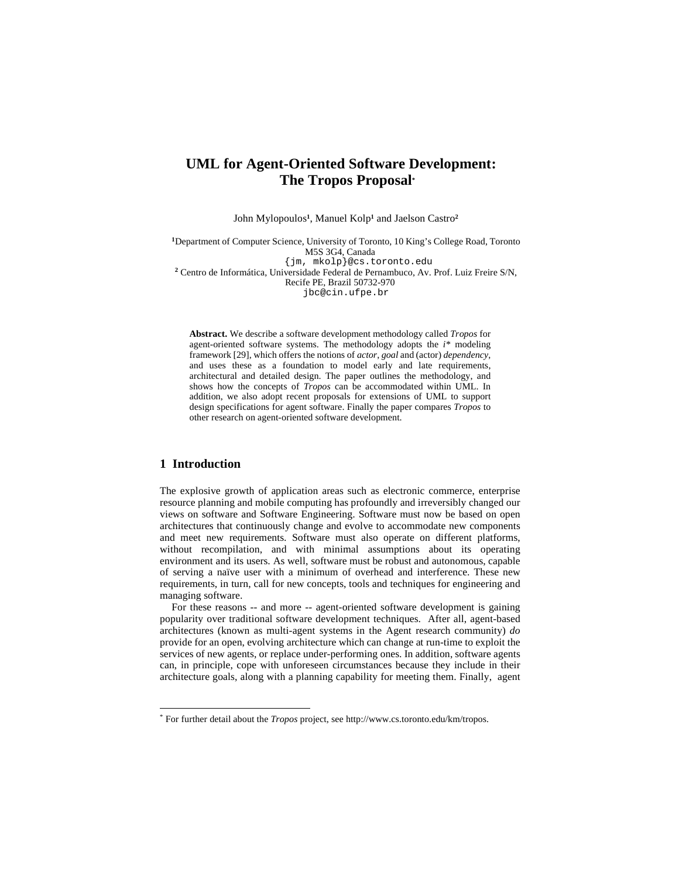# **UML for Agent-Oriented Software Development: The Tropos Proposal\***

John Mylopoulos**1**, Manuel Kolp**1** and Jaelson Castro**<sup>2</sup>**

**<sup>1</sup>**Department of Computer Science, University of Toronto, 10 King's College Road, Toronto M5S 3G4, Canada {jm, mkolp}@cs.toronto.edu **<sup>2</sup>** Centro de Informática, Universidade Federal de Pernambuco, Av. Prof. Luiz Freire S/N, Recife PE, Brazil 50732-970

jbc@cin.ufpe.br

**Abstract.** We describe a software development methodology called *Tropos* for agent-oriented software systems. The methodology adopts the *i\** modeling framework [29], which offers the notions of *actor*, *goal* and (actor) *dependency*, and uses these as a foundation to model early and late requirements, architectural and detailed design. The paper outlines the methodology, and shows how the concepts of *Tropos* can be accommodated within UML. In addition, we also adopt recent proposals for extensions of UML to support design specifications for agent software. Finally the paper compares *Tropos* to other research on agent-oriented software development.

## **1 Introduction**

The explosive growth of application areas such as electronic commerce, enterprise resource planning and mobile computing has profoundly and irreversibly changed our views on software and Software Engineering. Software must now be based on open architectures that continuously change and evolve to accommodate new components and meet new requirements. Software must also operate on different platforms, without recompilation, and with minimal assumptions about its operating environment and its users. As well, software must be robust and autonomous, capable of serving a naïve user with a minimum of overhead and interference. These new requirements, in turn, call for new concepts, tools and techniques for engineering and managing software.

For these reasons -- and more -- agent-oriented software development is gaining popularity over traditional software development techniques. After all, agent-based architectures (known as multi-agent systems in the Agent research community) *do* provide for an open, evolving architecture which can change at run-time to exploit the services of new agents, or replace under-performing ones. In addition, software agents can, in principle, cope with unforeseen circumstances because they include in their architecture goals, along with a planning capability for meeting them. Finally, agent

 <sup>\*</sup> For further detail about the *Tropos* project, see http://www.cs.toronto.edu/km/tropos.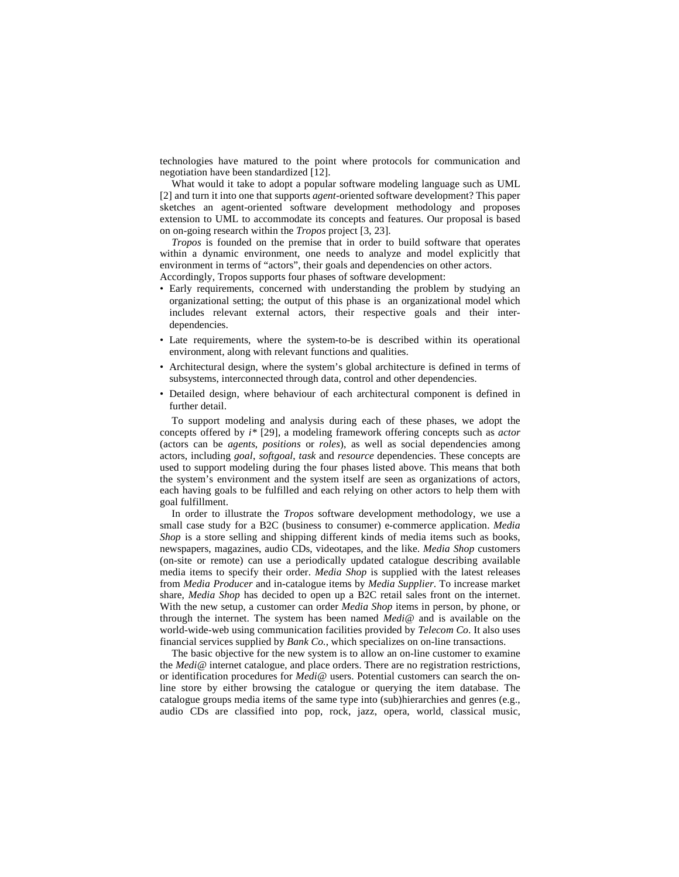technologies have matured to the point where protocols for communication and negotiation have been standardized [12].

What would it take to adopt a popular software modeling language such as UML [2] and turn it into one that supports *agent*-oriented software development? This paper sketches an agent-oriented software development methodology and proposes extension to UML to accommodate its concepts and features. Our proposal is based on on-going research within the *Tropos* project [3, 23].

*Tropos* is founded on the premise that in order to build software that operates within a dynamic environment, one needs to analyze and model explicitly that environment in terms of "actors", their goals and dependencies on other actors. Accordingly, Tropos supports four phases of software development:

- Early requirements, concerned with understanding the problem by studying an organizational setting; the output of this phase is an organizational model which includes relevant external actors, their respective goals and their interdependencies.
- Late requirements, where the system-to-be is described within its operational environment, along with relevant functions and qualities.
- Architectural design, where the system's global architecture is defined in terms of subsystems, interconnected through data, control and other dependencies.
- Detailed design, where behaviour of each architectural component is defined in further detail.

To support modeling and analysis during each of these phases, we adopt the concepts offered by *i\** [29], a modeling framework offering concepts such as *actor* (actors can be *agents*, *positions* or *roles*), as well as social dependencies among actors, including *goal*, *softgoal*, *task* and *resource* dependencies. These concepts are used to support modeling during the four phases listed above. This means that both the system's environment and the system itself are seen as organizations of actors, each having goals to be fulfilled and each relying on other actors to help them with goal fulfillment.

In order to illustrate the *Tropos* software development methodology, we use a small case study for a B2C (business to consumer) e-commerce application. *Media Shop* is a store selling and shipping different kinds of media items such as books, newspapers, magazines, audio CDs, videotapes, and the like. *Media Shop* customers (on-site or remote) can use a periodically updated catalogue describing available media items to specify their order. *Media Shop* is supplied with the latest releases from *Media Producer* and in-catalogue items by *Media Supplier*. To increase market share, *Media Shop* has decided to open up a B2C retail sales front on the internet. With the new setup, a customer can order *Media Shop* items in person, by phone, or through the internet. The system has been named *Medi@* and is available on the world-wide-web using communication facilities provided by *Telecom Co*. It also uses financial services supplied by *Bank Co.*, which specializes on on-line transactions.

The basic objective for the new system is to allow an on-line customer to examine the *Medi@* internet catalogue, and place orders. There are no registration restrictions, or identification procedures for *Medi@* users. Potential customers can search the online store by either browsing the catalogue or querying the item database. The catalogue groups media items of the same type into (sub)hierarchies and genres (e.g., audio CDs are classified into pop, rock, jazz, opera, world, classical music,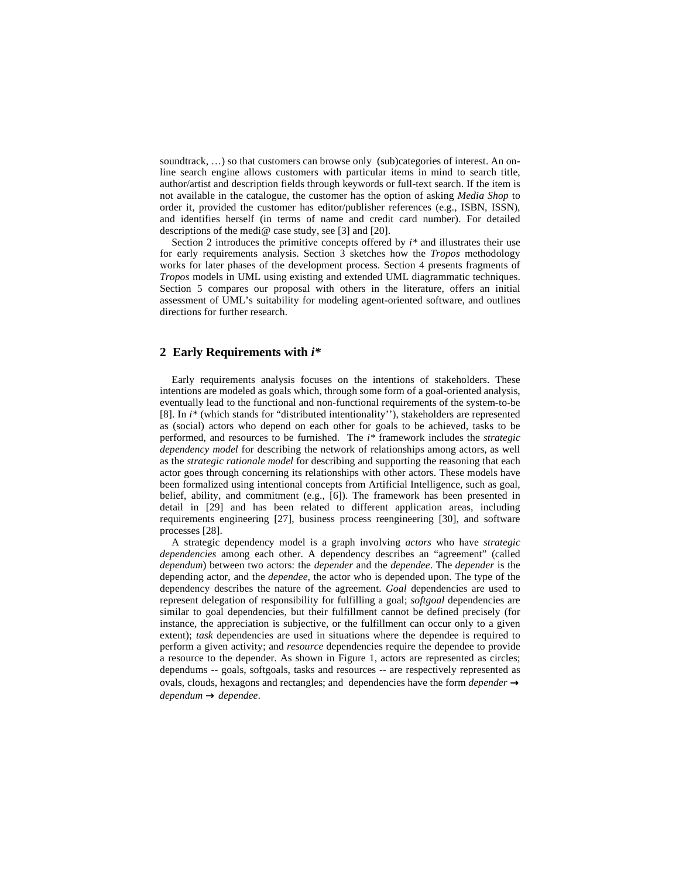soundtrack, ...) so that customers can browse only (sub)categories of interest. An online search engine allows customers with particular items in mind to search title, author/artist and description fields through keywords or full-text search. If the item is not available in the catalogue, the customer has the option of asking *Media Shop* to order it, provided the customer has editor/publisher references (e.g., ISBN, ISSN), and identifies herself (in terms of name and credit card number). For detailed descriptions of the medi@ case study, see [3] and [20].

Section 2 introduces the primitive concepts offered by *i\** and illustrates their use for early requirements analysis. Section 3 sketches how the *Tropos* methodology works for later phases of the development process. Section 4 presents fragments of *Tropos* models in UML using existing and extended UML diagrammatic techniques. Section 5 compares our proposal with others in the literature, offers an initial assessment of UML's suitability for modeling agent-oriented software, and outlines directions for further research.

## **2 Early Requirements with** *i\**

Early requirements analysis focuses on the intentions of stakeholders. These intentions are modeled as goals which, through some form of a goal-oriented analysis, eventually lead to the functional and non-functional requirements of the system-to-be [8]. In *i\** (which stands for "distributed intentionality''), stakeholders are represented as (social) actors who depend on each other for goals to be achieved, tasks to be performed, and resources to be furnished. The *i\** framework includes the *strategic dependency model* for describing the network of relationships among actors, as well as the *strategic rationale model* for describing and supporting the reasoning that each actor goes through concerning its relationships with other actors. These models have been formalized using intentional concepts from Artificial Intelligence, such as goal, belief, ability, and commitment (e.g., [6]). The framework has been presented in detail in [29] and has been related to different application areas, including requirements engineering [27], business process reengineering [30], and software processes [28].

A strategic dependency model is a graph involving *actors* who have *strategic dependencies* among each other. A dependency describes an "agreement" (called *dependum*) between two actors: the *depender* and the *dependee*. The *depender* is the depending actor, and the *dependee,* the actor who is depended upon. The type of the dependency describes the nature of the agreement. *Goal* dependencies are used to represent delegation of responsibility for fulfilling a goal; *softgoal* dependencies are similar to goal dependencies, but their fulfillment cannot be defined precisely (for instance, the appreciation is subjective, or the fulfillment can occur only to a given extent); *task* dependencies are used in situations where the dependee is required to perform a given activity; and *resource* dependencies require the dependee to provide a resource to the depender. As shown in Figure 1, actors are represented as circles; dependums -- goals, softgoals, tasks and resources -- are respectively represented as ovals, clouds, hexagons and rectangles; and dependencies have the form *depender* → *dependum* → *dependee*.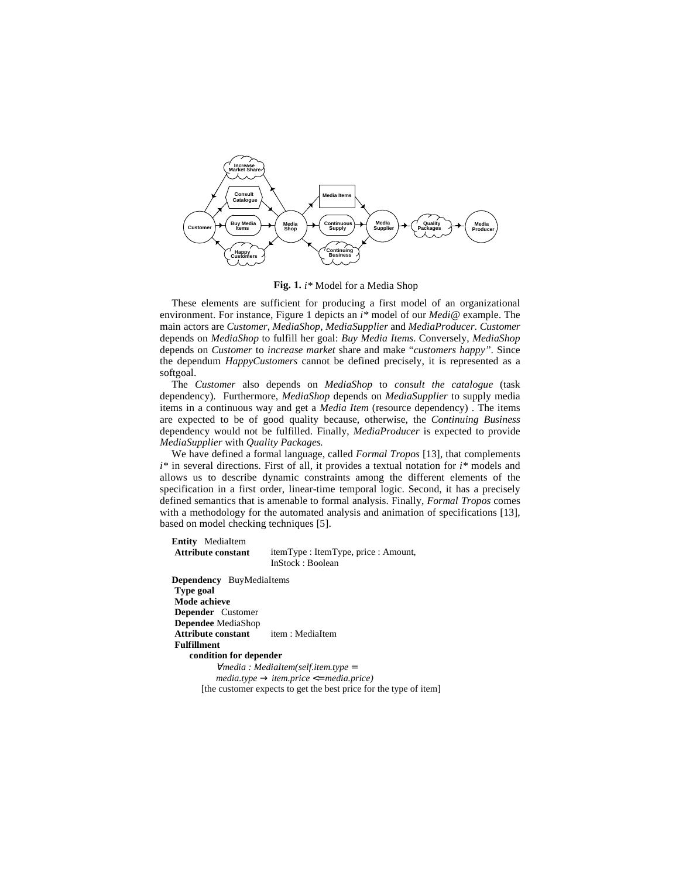

**Fig. 1.** *i\** Model for a Media Shop

These elements are sufficient for producing a first model of an organizational environment. For instance, Figure 1 depicts an *i\** model of our *Medi@* example. The main actors are *Customer*, *MediaShop*, *MediaSupplier* and *MediaProducer*. *Customer*  depends on *MediaShop* to fulfill her goal: *Buy Media Items*. Conversely, *MediaShop*  depends on *Customer* to *increase market* share and make "*customers happy"*. Since the dependum *HappyCustomers* cannot be defined precisely, it is represented as a softgoal.

The *Customer* also depends on *MediaShop* to *consult the catalogue* (task dependency). Furthermore, *MediaShop* depends on *MediaSupplier* to supply media items in a continuous way and get a *Media Item* (resource dependency) . The items are expected to be of good quality because, otherwise, the *Continuing Business*  dependency would not be fulfilled. Finally, *MediaProducer* is expected to provide *MediaSupplier* with *Quality Packages.* 

We have defined a formal language, called *Formal Tropos* [13]*,* that complements *i\** in several directions. First of all, it provides a textual notation for *i\** models and allows us to describe dynamic constraints among the different elements of the specification in a first order, linear-time temporal logic. Second, it has a precisely defined semantics that is amenable to formal analysis. Finally, *Formal Tropos* comes with a methodology for the automated analysis and animation of specifications [13], based on model checking techniques [5].

**Entity** MediaItem

**Attribute constant** itemType : ItemType, price : Amount, InStock : Boolean

**Dependency** BuyMediaItems **Type goal Mode achieve Depender** Customer **Dependee** MediaShop **Attribute constant** item : MediaItem **Fulfillment condition for depender** <sup>∀</sup>*media : MediaItem(self.item.type* = *media.type* → *item.price* <= *media.price)* [the customer expects to get the best price for the type of item]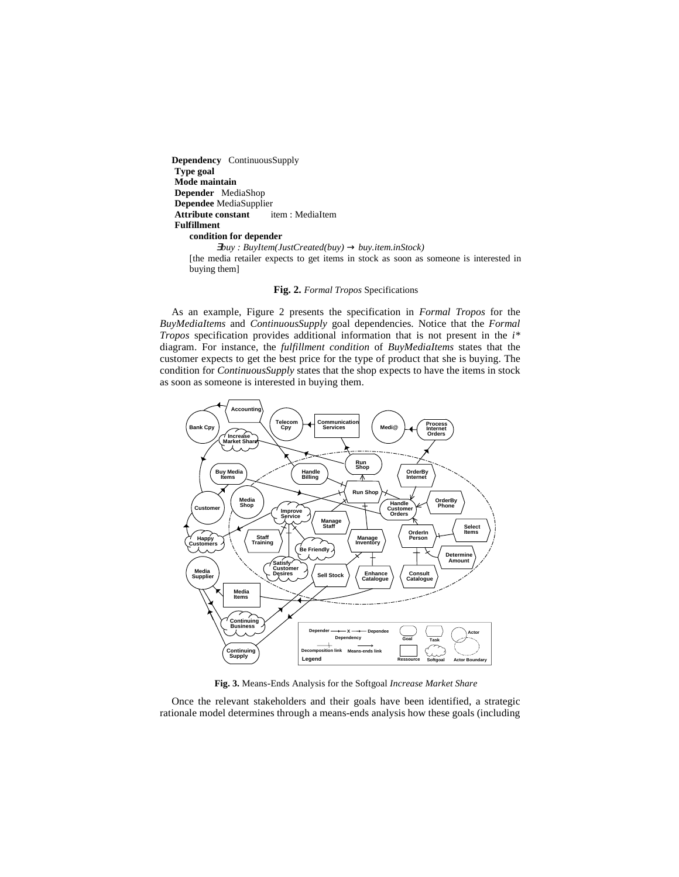**Dependency** ContinuousSupply **Type goal Mode maintain Depender** MediaShop **Dependee** MediaSupplier<br> **Attribute constant** item : MediaItem **Attribute constant Fulfillment condition for depender** <sup>∃</sup>*buy : BuyItem(JustCreated(buy)* → *buy.item.inStock)*

[the media retailer expects to get items in stock as soon as someone is interested in buying them]

**Fig. 2.** *Formal Tropos* Specifications

As an example, Figure 2 presents the specification in *Formal Tropos* for the *BuyMediaItems* and *ContinuousSupply* goal dependencies. Notice that the *Formal Tropos* specification provides additional information that is not present in the *i\** diagram. For instance, the *fulfillment condition* of *BuyMediaItems* states that the customer expects to get the best price for the type of product that she is buying. The condition for *ContinuousSupply* states that the shop expects to have the items in stock as soon as someone is interested in buying them.



**Fig. 3.** Means-Ends Analysis for the Softgoal *Increase Market Share*

Once the relevant stakeholders and their goals have been identified, a strategic rationale model determines through a means-ends analysis how these goals (including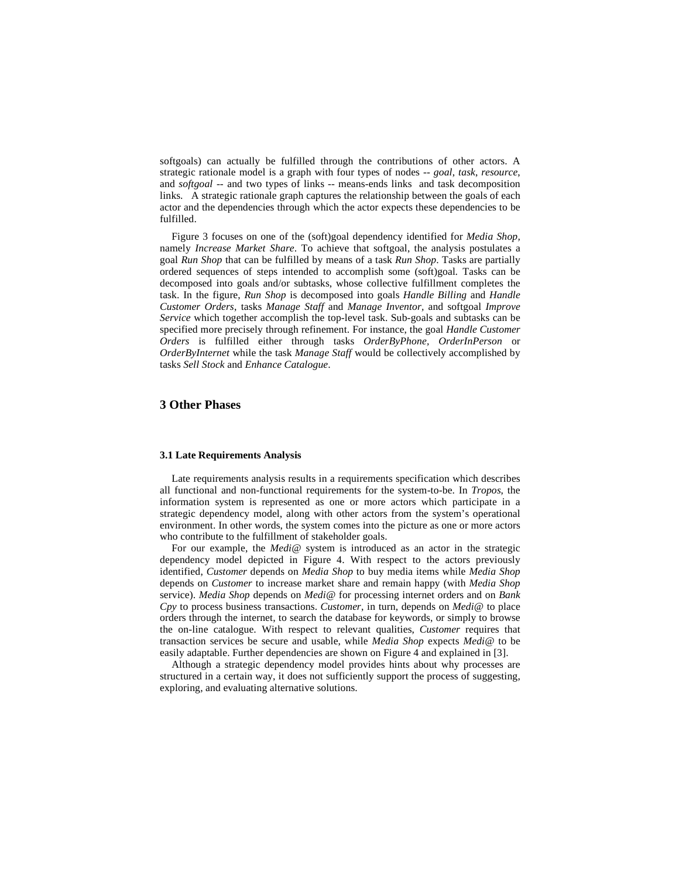softgoals) can actually be fulfilled through the contributions of other actors. A strategic rationale model is a graph with four types of nodes -- *goal*, *task*, *resource*, and *softgoal* -- and two types of links -- means-ends links and task decomposition links. A strategic rationale graph captures the relationship between the goals of each actor and the dependencies through which the actor expects these dependencies to be fulfilled.

Figure 3 focuses on one of the (soft)goal dependency identified for *Media Shop,*  namely *Increase Market Share*. To achieve that softgoal, the analysis postulates a goal *Run Shop* that can be fulfilled by means of a task *Run Shop*. Tasks are partially ordered sequences of steps intended to accomplish some (soft)goal*.* Tasks can be decomposed into goals and/or subtasks, whose collective fulfillment completes the task. In the figure, *Run Shop* is decomposed into goals *Handle Billing* and *Handle Customer Orders*, tasks *Manage Staff* and *Manage Inventor,* and softgoal *Improve Service* which together accomplish the top-level task. Sub-goals and subtasks can be specified more precisely through refinement. For instance, the goal *Handle Customer Orders* is fulfilled either through tasks *OrderByPhone, OrderInPerson* or *OrderByInternet* while the task *Manage Staff* would be collectively accomplished by tasks *Sell Stock* and *Enhance Catalogue*.

## **3 Other Phases**

### **3.1 Late Requirements Analysis**

Late requirements analysis results in a requirements specification which describes all functional and non-functional requirements for the system-to-be. In *Tropos*, the information system is represented as one or more actors which participate in a strategic dependency model, along with other actors from the system's operational environment. In other words, the system comes into the picture as one or more actors who contribute to the fulfillment of stakeholder goals.

For our example, the *Medi@* system is introduced as an actor in the strategic dependency model depicted in Figure 4. With respect to the actors previously identified, *Customer* depends on *Media Shop* to buy media items while *Media Shop* depends on *Customer* to increase market share and remain happy (with *Media Shop* service). *Media Shop* depends on *Medi@* for processing internet orders and on *Bank Cpy* to process business transactions. *Customer*, in turn, depends on *Medi@* to place orders through the internet, to search the database for keywords, or simply to browse the on-line catalogue. With respect to relevant qualities, *Customer* requires that transaction services be secure and usable, while *Media Shop* expects *Medi@* to be easily adaptable. Further dependencies are shown on Figure 4 and explained in [3].

Although a strategic dependency model provides hints about why processes are structured in a certain way, it does not sufficiently support the process of suggesting, exploring, and evaluating alternative solutions.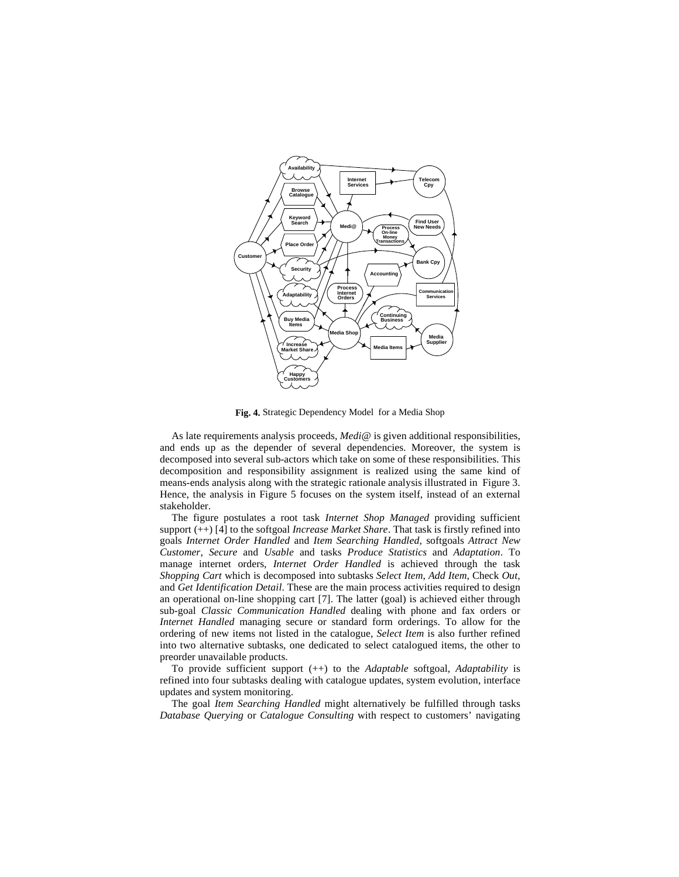

**Fig. 4.** Strategic Dependency Model for a Media Shop

As late requirements analysis proceeds, *Medi@* is given additional responsibilities, and ends up as the depender of several dependencies. Moreover, the system is decomposed into several sub-actors which take on some of these responsibilities. This decomposition and responsibility assignment is realized using the same kind of means-ends analysis along with the strategic rationale analysis illustrated in Figure 3. Hence, the analysis in Figure 5 focuses on the system itself, instead of an external stakeholder.

The figure postulates a root task *Internet Shop Managed* providing sufficient support (++) [4] to the softgoal *Increase Market Share*. That task is firstly refined into goals *Internet Order Handled* and *Item Searching Handled*, softgoals *Attract New Customer*, *Secure* and *Usable* and tasks *Produce Statistics* and *Adaptation*. To manage internet orders, *Internet Order Handled* is achieved through the task *Shopping Cart* which is decomposed into subtasks *Select Item*, *Add Item*, Check *Out,* and *Get Identification Detail*. These are the main process activities required to design an operational on-line shopping cart [7]. The latter (goal) is achieved either through sub-goal *Classic Communication Handled* dealing with phone and fax orders or *Internet Handled* managing secure or standard form orderings. To allow for the ordering of new items not listed in the catalogue, *Select Item* is also further refined into two alternative subtasks, one dedicated to select catalogued items, the other to preorder unavailable products.

To provide sufficient support (++) to the *Adaptable* softgoal, *Adaptability* is refined into four subtasks dealing with catalogue updates, system evolution, interface updates and system monitoring.

The goal *Item Searching Handled* might alternatively be fulfilled through tasks *Database Querying* or *Catalogue Consulting* with respect to customers' navigating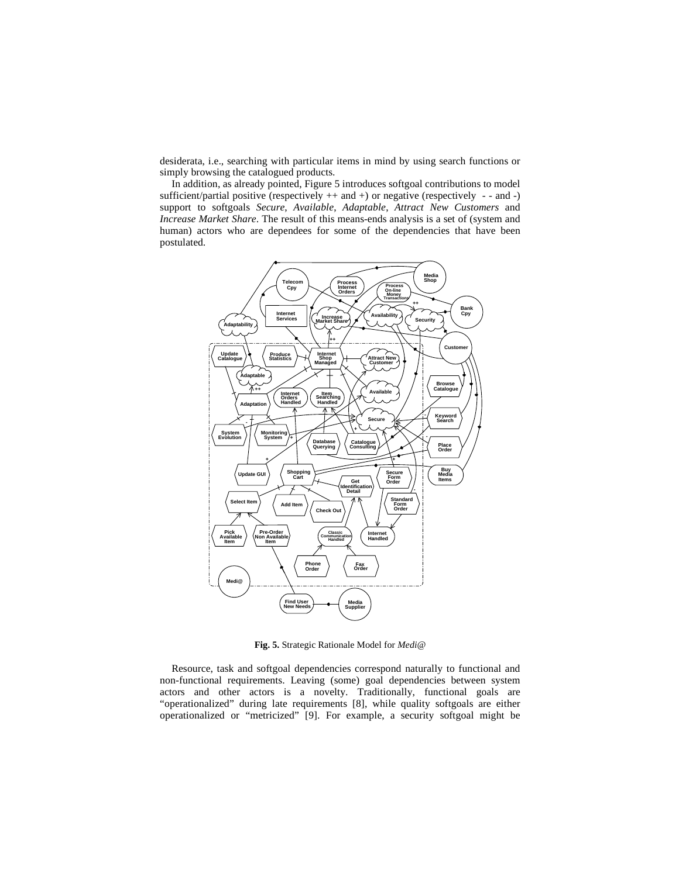desiderata, i.e., searching with particular items in mind by using search functions or simply browsing the catalogued products.

In addition, as already pointed, Figure 5 introduces softgoal contributions to model sufficient/partial positive (respectively  $++$  and  $+)$  or negative (respectively  $--$  and  $-$ ) support to softgoals *Secure*, *Available*, *Adaptable*, *Attract New Customers* and *Increase Market Share*. The result of this means-ends analysis is a set of (system and human) actors who are dependees for some of the dependencies that have been postulated.



**Fig. 5.** Strategic Rationale Model for *Medi@*

Resource, task and softgoal dependencies correspond naturally to functional and non-functional requirements. Leaving (some) goal dependencies between system actors and other actors is a novelty. Traditionally, functional goals are "operationalized" during late requirements [8], while quality softgoals are either operationalized or "metricized" [9]. For example, a security softgoal might be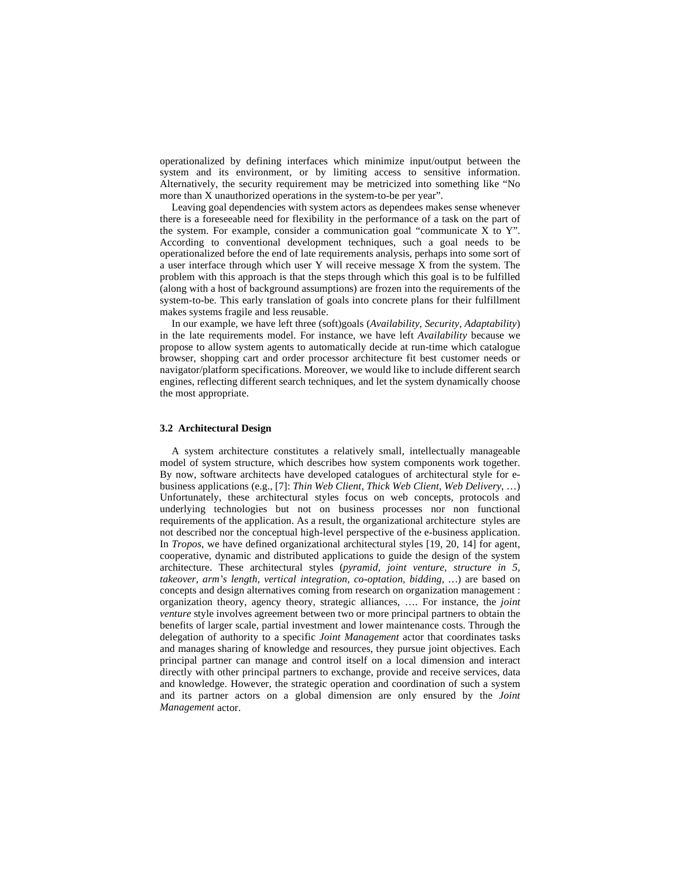operationalized by defining interfaces which minimize input/output between the system and its environment, or by limiting access to sensitive information. Alternatively, the security requirement may be metricized into something like "No more than X unauthorized operations in the system-to-be per year".

Leaving goal dependencies with system actors as dependees makes sense whenever there is a foreseeable need for flexibility in the performance of a task on the part of the system. For example, consider a communication goal "communicate X to Y". According to conventional development techniques, such a goal needs to be operationalized before the end of late requirements analysis, perhaps into some sort of a user interface through which user Y will receive message X from the system. The problem with this approach is that the steps through which this goal is to be fulfilled (along with a host of background assumptions) are frozen into the requirements of the system-to-be. This early translation of goals into concrete plans for their fulfillment makes systems fragile and less reusable.

In our example, we have left three (soft)goals (*Availability, Security, Adaptability*) in the late requirements model. For instance, we have left *Availability* because we propose to allow system agents to automatically decide at run-time which catalogue browser, shopping cart and order processor architecture fit best customer needs or navigator/platform specifications. Moreover, we would like to include different search engines, reflecting different search techniques, and let the system dynamically choose the most appropriate.

#### **3.2 Architectural Design**

A system architecture constitutes a relatively small, intellectually manageable model of system structure, which describes how system components work together. By now, software architects have developed catalogues of architectural style for ebusiness applications (e.g., [7]: *Thin Web Client*, *Thick Web Client*, *Web Delivery*, …) Unfortunately, these architectural styles focus on web concepts, protocols and underlying technologies but not on business processes nor non functional requirements of the application. As a result, the organizational architecture styles are not described nor the conceptual high-level perspective of the e-business application. In *Tropos*, we have defined organizational architectural styles [19, 20, 14] for agent, cooperative, dynamic and distributed applications to guide the design of the system architecture. These architectural styles (*pyramid, joint venture, structure in 5, takeover, arm's length, vertical integration, co-optation, bidding, …*) are based on concepts and design alternatives coming from research on organization management : organization theory, agency theory, strategic alliances, …. For instance, the *joint venture* style involves agreement between two or more principal partners to obtain the benefits of larger scale, partial investment and lower maintenance costs. Through the delegation of authority to a specific *Joint Management* actor that coordinates tasks and manages sharing of knowledge and resources, they pursue joint objectives. Each principal partner can manage and control itself on a local dimension and interact directly with other principal partners to exchange, provide and receive services, data and knowledge. However, the strategic operation and coordination of such a system and its partner actors on a global dimension are only ensured by the *Joint Management* actor.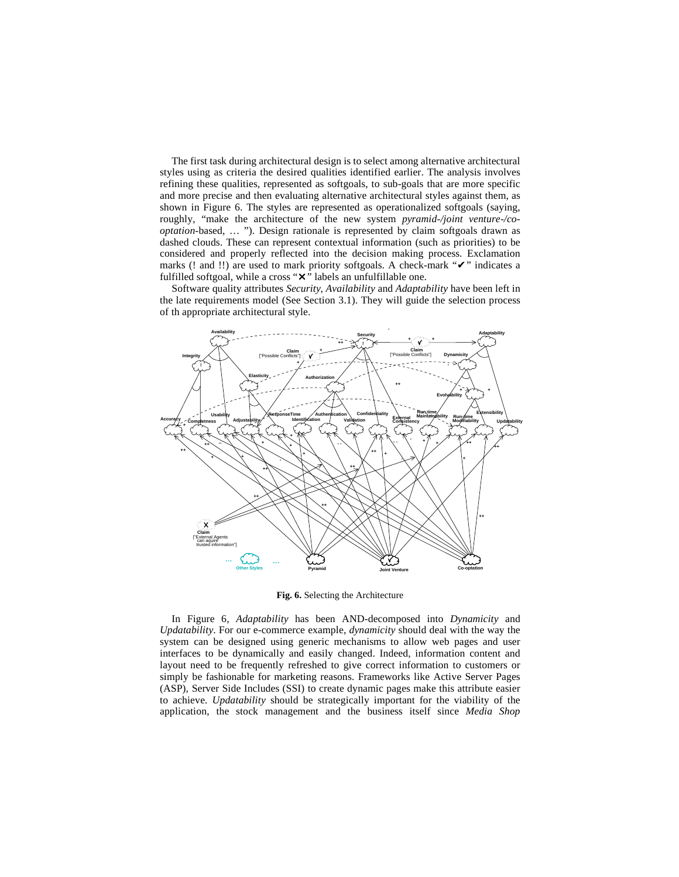The first task during architectural design is to select among alternative architectural styles using as criteria the desired qualities identified earlier. The analysis involves refining these qualities, represented as softgoals, to sub-goals that are more specific and more precise and then evaluating alternative architectural styles against them, as shown in Figure 6. The styles are represented as operationalized softgoals (saying, roughly, "make the architecture of the new system *pyramid-/joint venture-/cooptation*-based, … "). Design rationale is represented by claim softgoals drawn as dashed clouds. These can represent contextual information (such as priorities) to be considered and properly reflected into the decision making process. Exclamation marks (! and !!) are used to mark priority softgoals. A check-mark " $\vee$ " indicates a fulfilled softgoal, while a cross " $\mathsf{X}$ " labels an unfulfillable one.

Software quality attributes *Security*, *Availability* and *Adaptability* have been left in the late requirements model (See Section 3.1). They will guide the selection process of th appropriate architectural style.



**Fig. 6.** Selecting the Architecture

In Figure 6, *Adaptability* has been AND-decomposed into *Dynamicity* and *Updatability*. For our e-commerce example, *dynamicity* should deal with the way the system can be designed using generic mechanisms to allow web pages and user interfaces to be dynamically and easily changed. Indeed, information content and layout need to be frequently refreshed to give correct information to customers or simply be fashionable for marketing reasons. Frameworks like Active Server Pages (ASP), Server Side Includes (SSI) to create dynamic pages make this attribute easier to achieve. *Updatability* should be strategically important for the viability of the application, the stock management and the business itself since *Media Shop*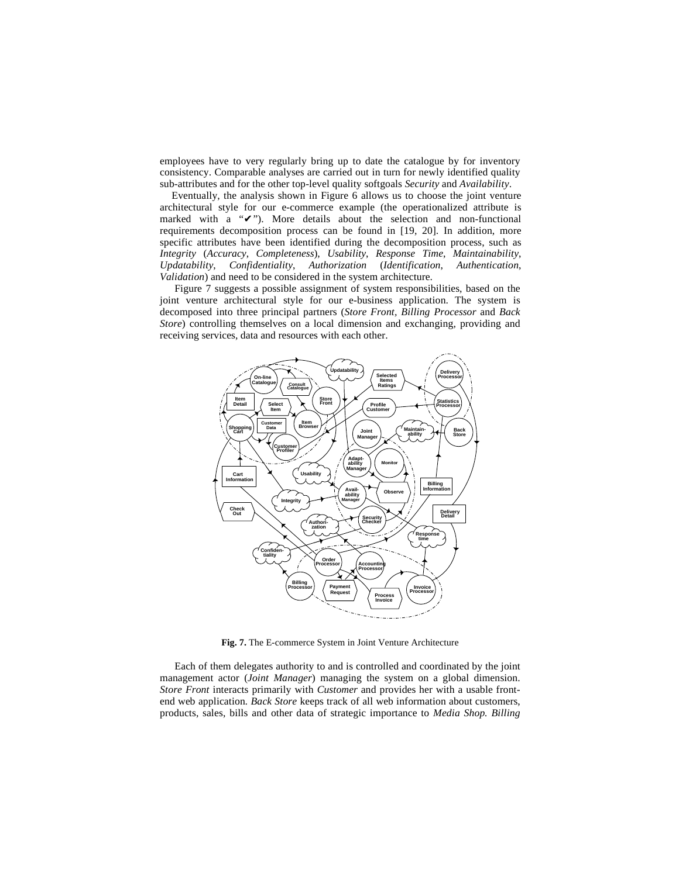employees have to very regularly bring up to date the catalogue by for inventory consistency. Comparable analyses are carried out in turn for newly identified quality sub-attributes and for the other top-level quality softgoals *Security* and *Availability*.

Eventually, the analysis shown in Figure 6 allows us to choose the joint venture architectural style for our e-commerce example (the operationalized attribute is marked with a  $\mathbf{v}$ "). More details about the selection and non-functional requirements decomposition process can be found in [19, 20]. In addition, more specific attributes have been identified during the decomposition process, such as *Integrity* (*Accuracy*, *Completeness*), *Usability*, *Response Time*, *Maintainability*, *Updatability*, *Confidentiality*, *Authorization* (*Identification*, *Authentication*, *Validation*) and need to be considered in the system architecture.

Figure 7 suggests a possible assignment of system responsibilities, based on the joint venture architectural style for our e-business application. The system is decomposed into three principal partners (*Store Front, Billing Processor* and *Back Store*) controlling themselves on a local dimension and exchanging, providing and receiving services, data and resources with each other.



**Fig. 7.** The E-commerce System in Joint Venture Architecture

Each of them delegates authority to and is controlled and coordinated by the joint management actor (*Joint Manager*) managing the system on a global dimension. *Store Front* interacts primarily with *Customer* and provides her with a usable frontend web application*. Back Store* keeps track of all web information about customers, products, sales, bills and other data of strategic importance to *Media Shop. Billing*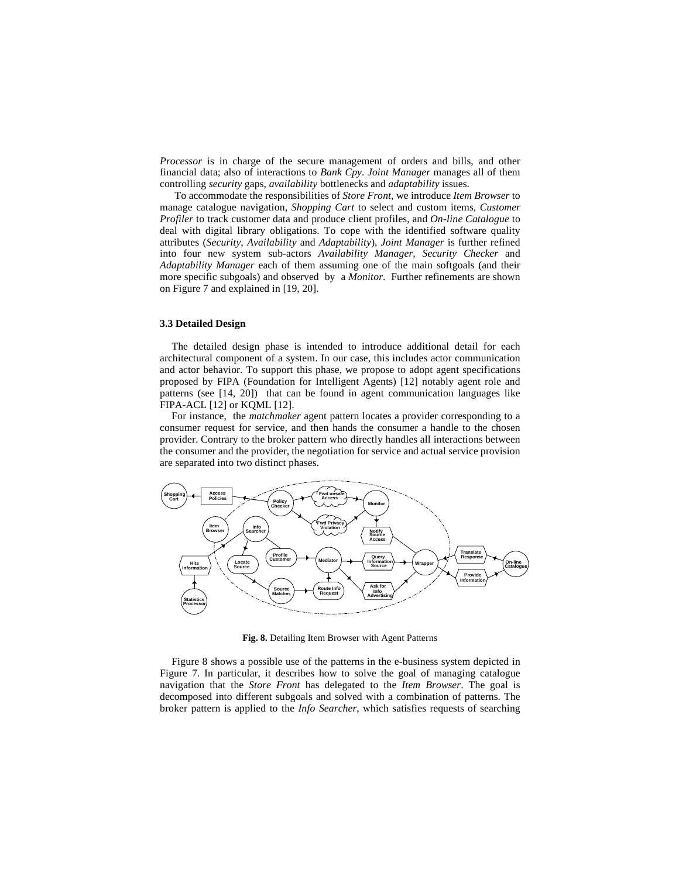*Processor* is in charge of the secure management of orders and bills, and other financial data; also of interactions to *Bank Cpy*. *Joint Manager* manages all of them controlling *security* gaps, *availability* bottlenecks and *adaptability* issues.

To accommodate the responsibilities of *Store Front*, we introduce *Item Browser* to manage catalogue navigation, *Shopping Cart* to select and custom items, *Customer Profiler* to track customer data and produce client profiles, and *On-line Catalogue* to deal with digital library obligations. To cope with the identified software quality attributes (*Security*, *Availability* and *Adaptability*), *Joint Manager* is further refined into four new system sub-actors *Availability Manager*, *Security Checker* and *Adaptability Manager* each of them assuming one of the main softgoals (and their more specific subgoals) and observed by a *Monitor*. Further refinements are shown on Figure 7 and explained in [19, 20].

## **3.3 Detailed Design**

The detailed design phase is intended to introduce additional detail for each architectural component of a system. In our case, this includes actor communication and actor behavior. To support this phase, we propose to adopt agent specifications proposed by FIPA (Foundation for Intelligent Agents) [12] notably agent role and patterns (see [14, 20]) that can be found in agent communication languages like FIPA-ACL [12] or KQML [12].

For instance, the *matchmaker* agent pattern locates a provider corresponding to a consumer request for service, and then hands the consumer a handle to the chosen provider. Contrary to the broker pattern who directly handles all interactions between the consumer and the provider, the negotiation for service and actual service provision are separated into two distinct phases.



**Fig. 8.** Detailing Item Browser with Agent Patterns

Figure 8 shows a possible use of the patterns in the e-business system depicted in Figure 7. In particular, it describes how to solve the goal of managing catalogue navigation that the *Store Front* has delegated to the *Item Browser*. The goal is decomposed into different subgoals and solved with a combination of patterns. The broker pattern is applied to the *Info Searcher*, which satisfies requests of searching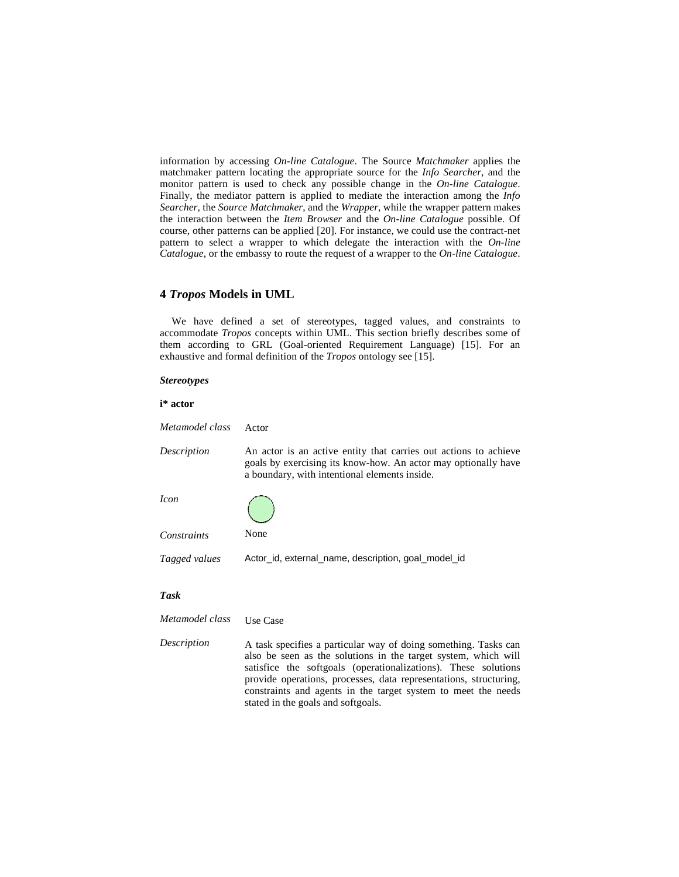information by accessing *On-line Catalogue*. The Source *Matchmaker* applies the matchmaker pattern locating the appropriate source for the *Info Searcher*, and the monitor pattern is used to check any possible change in the *On-line Catalogue*. Finally, the mediator pattern is applied to mediate the interaction among the *Info Searcher*, the *Source Matchmaker*, and the *Wrapper*, while the wrapper pattern makes the interaction between the *Item Browser* and the *On-line Catalogue* possible. Of course, other patterns can be applied [20]. For instance, we could use the contract-net pattern to select a wrapper to which delegate the interaction with the *On-line Catalogue*, or the embassy to route the request of a wrapper to the *On-line Catalogue*.

## **4** *Tropos* **Models in UML**

We have defined a set of stereotypes, tagged values, and constraints to accommodate *Tropos* concepts within UML. This section briefly describes some of them according to GRL (Goal-oriented Requirement Language) [15]. For an exhaustive and formal definition of the *Tropos* ontology see [15].

### *Stereotypes*

### **i\* actor**

*Metamodel class* Actor

*Description* An actor is an active entity that carries out actions to achieve goals by exercising its know-how. An actor may optionally have a boundary, with intentional elements inside.

*Icon*

*Constraints* None

*Tagged values* Actor\_id, external\_name, description, goal\_model\_id

### *Task*

*Metamodel class* Use Case

*Description* A task specifies a particular way of doing something. Tasks can also be seen as the solutions in the target system, which will satisfice the softgoals (operationalizations). These solutions provide operations, processes, data representations, structuring, constraints and agents in the target system to meet the needs stated in the goals and softgoals.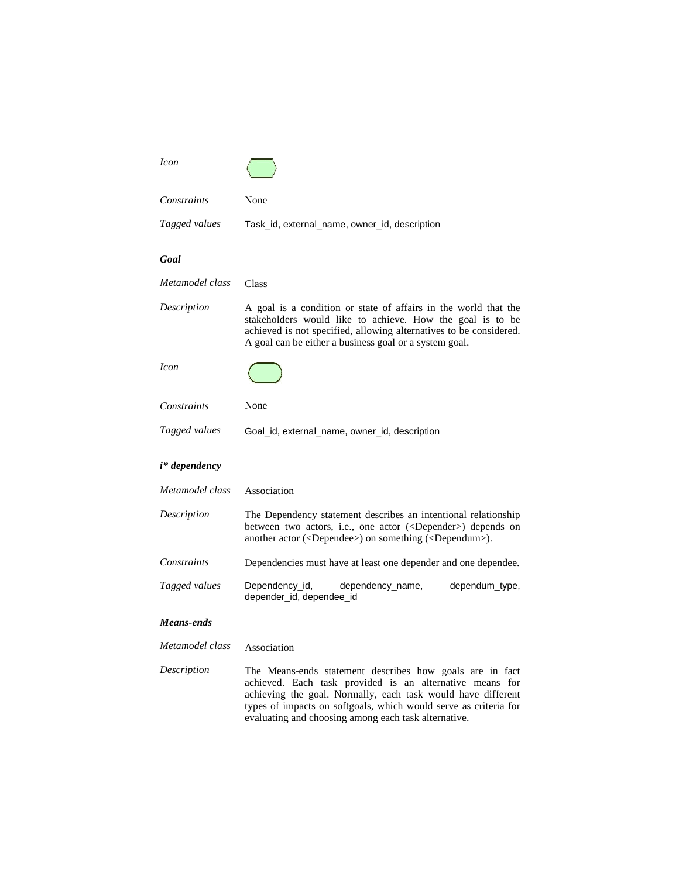| <i>Icon</i>     |                                                                                                                                                                                                                                                                                                                  |
|-----------------|------------------------------------------------------------------------------------------------------------------------------------------------------------------------------------------------------------------------------------------------------------------------------------------------------------------|
| Constraints     | None                                                                                                                                                                                                                                                                                                             |
| Tagged values   | Task_id, external_name, owner_id, description                                                                                                                                                                                                                                                                    |
| Goal            |                                                                                                                                                                                                                                                                                                                  |
| Metamodel class | Class                                                                                                                                                                                                                                                                                                            |
| Description     | A goal is a condition or state of affairs in the world that the<br>stakeholders would like to achieve. How the goal is to be<br>achieved is not specified, allowing alternatives to be considered.<br>A goal can be either a business goal or a system goal.                                                     |
| <i>Icon</i>     |                                                                                                                                                                                                                                                                                                                  |
| Constraints     | None                                                                                                                                                                                                                                                                                                             |
| Tagged values   | Goal_id, external_name, owner_id, description                                                                                                                                                                                                                                                                    |
| i* dependency   |                                                                                                                                                                                                                                                                                                                  |
| Metamodel class | Association                                                                                                                                                                                                                                                                                                      |
| Description     | The Dependency statement describes an intentional relationship<br>between two actors, i.e., one actor ( <depender>) depends on<br/>another actor (<dependee>) on something (<dependum>).</dependum></dependee></depender>                                                                                        |
| Constraints     | Dependencies must have at least one depender and one dependee.                                                                                                                                                                                                                                                   |
| Tagged values   | Dependency_id,<br>dependency_name,<br>dependum_type,<br>depender_id, dependee_id                                                                                                                                                                                                                                 |
| Means-ends      |                                                                                                                                                                                                                                                                                                                  |
| Metamodel class | Association                                                                                                                                                                                                                                                                                                      |
| Description     | The Means-ends statement describes how goals are in fact<br>achieved. Each task provided is an alternative means for<br>achieving the goal. Normally, each task would have different<br>types of impacts on softgoals, which would serve as criteria for<br>evaluating and choosing among each task alternative. |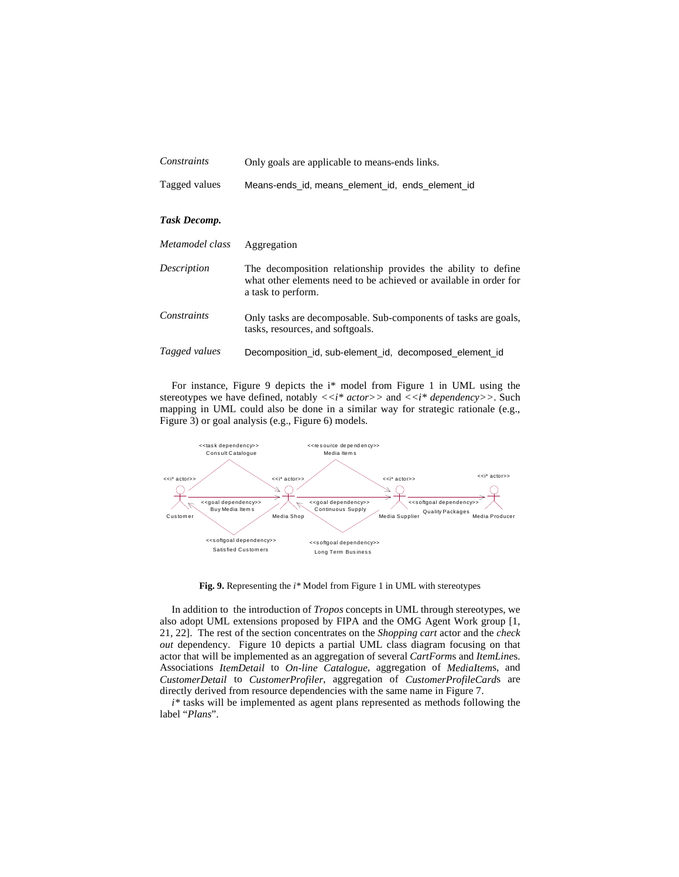| Constraints     | Only goals are applicable to means-ends links.                                                                                                           |
|-----------------|----------------------------------------------------------------------------------------------------------------------------------------------------------|
| Tagged values   | Means-ends id, means element id, ends element id                                                                                                         |
| Task Decomp.    |                                                                                                                                                          |
| Metamodel class | Aggregation                                                                                                                                              |
| Description     | The decomposition relationship provides the ability to define<br>what other elements need to be achieved or available in order for<br>a task to perform. |
| Constraints     | Only tasks are decomposable. Sub-components of tasks are goals,<br>tasks, resources, and softgoals.                                                      |
| Tagged values   | Decomposition_id, sub-element_id, decomposed_element_id                                                                                                  |

For instance, Figure 9 depicts the i\* model from Figure 1 in UML using the stereotypes we have defined, notably  $\langle \langle i^* \right. actors \rangle$  and  $\langle \langle i^* \right. dependency \rangle$ . Such mapping in UML could also be done in a similar way for strategic rationale (e.g., Figure 3) or goal analysis (e.g., Figure 6) models.



**Fig. 9.** Representing the *i\** Model from Figure 1 in UML with stereotypes

In addition to the introduction of *Tropos* concepts in UML through stereotypes, we also adopt UML extensions proposed by FIPA and the OMG Agent Work group [1, 21, 22]. The rest of the section concentrates on the *Shopping cart* actor and the *check out* dependency. Figure 10 depicts a partial UML class diagram focusing on that actor that will be implemented as an aggregation of several *CartForm*s and *ItemLine*s. Associations *ItemDetail* to *On-line Catalogue*, aggregation of *MediaItem*s, and *CustomerDetail* to *CustomerProfiler*, aggregation of *CustomerProfileCard*s are directly derived from resource dependencies with the same name in Figure 7.

*i\** tasks will be implemented as agent plans represented as methods following the label "*Plans*".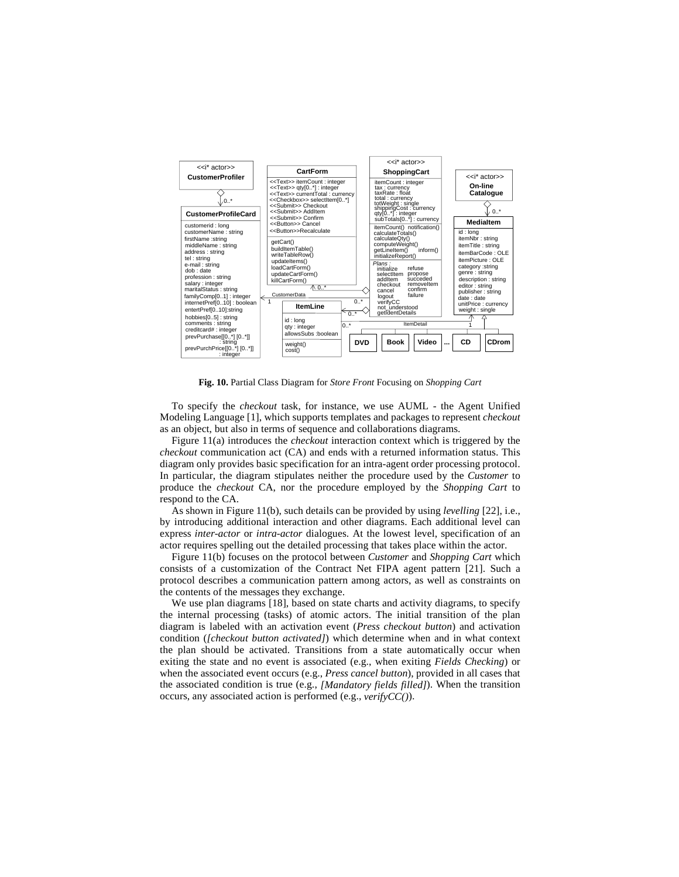

**Fig. 10.** Partial Class Diagram for *Store Front* Focusing on *Shopping Cart*

To specify the *checkout* task, for instance, we use AUML - the Agent Unified Modeling Language [1], which supports templates and packages to represent *checkout* as an object, but also in terms of sequence and collaborations diagrams.

Figure 11(a) introduces the *checkout* interaction context which is triggered by the *checkout* communication act (CA) and ends with a returned information status. This diagram only provides basic specification for an intra-agent order processing protocol. In particular, the diagram stipulates neither the procedure used by the *Customer* to produce the *checkout* CA, nor the procedure employed by the *Shopping Cart* to respond to the CA.

As shown in Figure 11(b), such details can be provided by using *levelling* [22], i.e., by introducing additional interaction and other diagrams. Each additional level can express *inter-actor* or *intra-actor* dialogues. At the lowest level, specification of an actor requires spelling out the detailed processing that takes place within the actor.

Figure 11(b) focuses on the protocol between *Customer* and *Shopping Cart* which consists of a customization of the Contract Net FIPA agent pattern [21]. Such a protocol describes a communication pattern among actors, as well as constraints on the contents of the messages they exchange.

We use plan diagrams [18], based on state charts and activity diagrams, to specify the internal processing (tasks) of atomic actors. The initial transition of the plan diagram is labeled with an activation event (*Press checkout button*) and activation condition (*[checkout button activated]*) which determine when and in what context the plan should be activated. Transitions from a state automatically occur when exiting the state and no event is associated (e.g., when exiting *Fields Checking*) or when the associated event occurs (e.g., *Press cancel button*), provided in all cases that the associated condition is true (e.g., *[Mandatory fields filled]*). When the transition occurs, any associated action is performed (e.g., *verifyCC()*).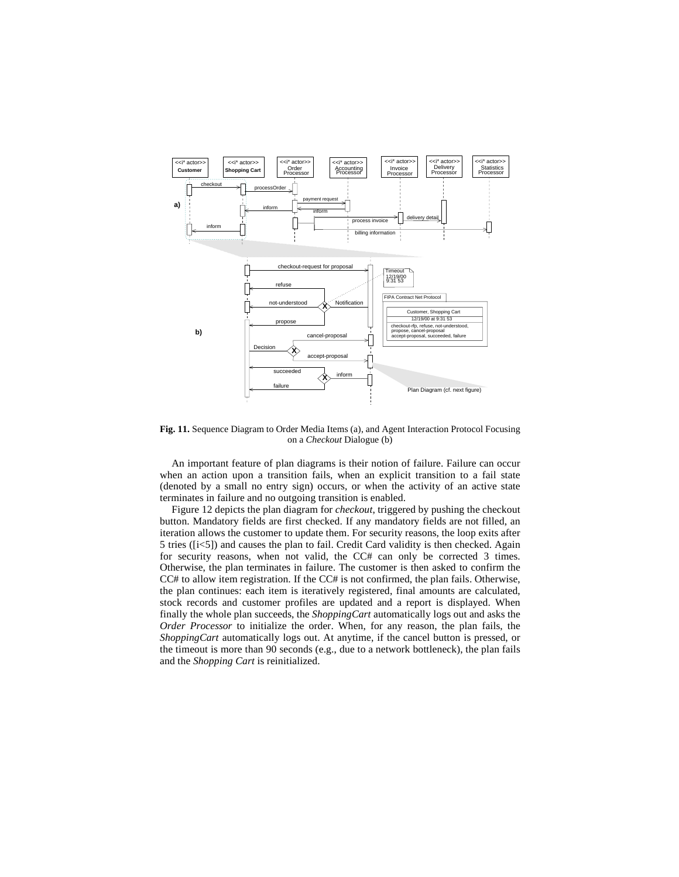

**Fig. 11.** Sequence Diagram to Order Media Items (a), and Agent Interaction Protocol Focusing on a *Checkout* Dialogue (b)

An important feature of plan diagrams is their notion of failure. Failure can occur when an action upon a transition fails, when an explicit transition to a fail state (denoted by a small no entry sign) occurs, or when the activity of an active state terminates in failure and no outgoing transition is enabled.

Figure 12 depicts the plan diagram for *checkout*, triggered by pushing the checkout button. Mandatory fields are first checked. If any mandatory fields are not filled, an iteration allows the customer to update them. For security reasons, the loop exits after 5 tries ([i<5]) and causes the plan to fail. Credit Card validity is then checked. Again for security reasons, when not valid, the CC# can only be corrected 3 times. Otherwise, the plan terminates in failure. The customer is then asked to confirm the CC# to allow item registration. If the CC# is not confirmed, the plan fails. Otherwise, the plan continues: each item is iteratively registered, final amounts are calculated, stock records and customer profiles are updated and a report is displayed. When finally the whole plan succeeds, the *ShoppingCart* automatically logs out and asks the *Order Processor* to initialize the order. When, for any reason, the plan fails, the *ShoppingCart* automatically logs out. At anytime, if the cancel button is pressed, or the timeout is more than 90 seconds (e.g., due to a network bottleneck), the plan fails and the *Shopping Cart* is reinitialized.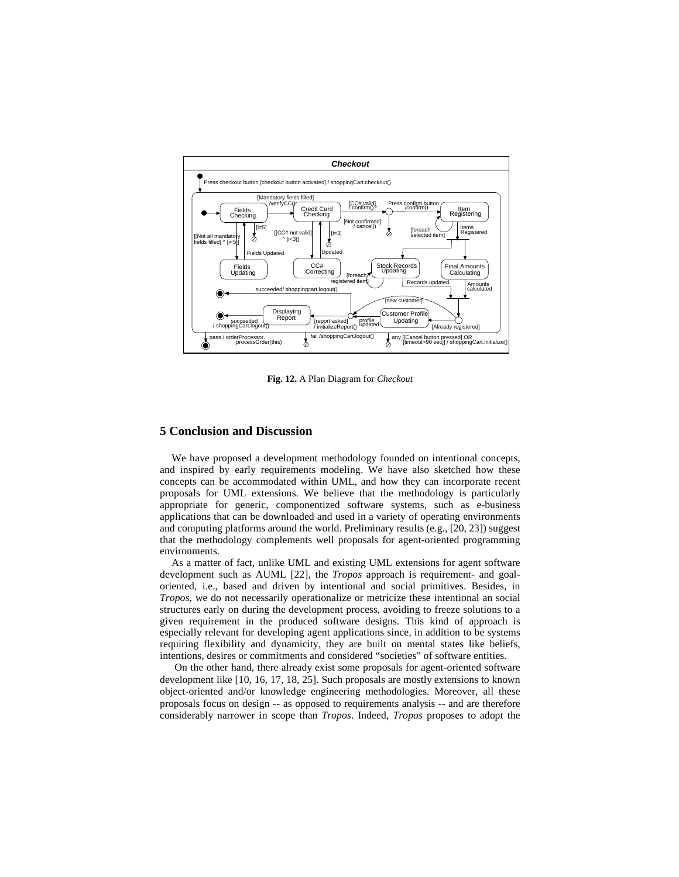

**Fig. 12.** A Plan Diagram for *Checkout*

## **5 Conclusion and Discussion**

We have proposed a development methodology founded on intentional concepts, and inspired by early requirements modeling. We have also sketched how these concepts can be accommodated within UML, and how they can incorporate recent proposals for UML extensions. We believe that the methodology is particularly appropriate for generic, componentized software systems, such as e-business applications that can be downloaded and used in a variety of operating environments and computing platforms around the world. Preliminary results (e.g., [20, 23]) suggest that the methodology complements well proposals for agent-oriented programming environments.

As a matter of fact, unlike UML and existing UML extensions for agent software development such as AUML [22], the *Tropos* approach is requirement- and goaloriented, i.e., based and driven by intentional and social primitives. Besides, in *Tropos*, we do not necessarily operationalize or metricize these intentional an social structures early on during the development process, avoiding to freeze solutions to a given requirement in the produced software designs. This kind of approach is especially relevant for developing agent applications since, in addition to be systems requiring flexibility and dynamicity, they are built on mental states like beliefs, intentions, desires or commitments and considered "societies" of software entities.

On the other hand, there already exist some proposals for agent-oriented software development like [10, 16, 17, 18, 25]. Such proposals are mostly extensions to known object-oriented and/or knowledge engineering methodologies. Moreover, all these proposals focus on design -- as opposed to requirements analysis -- and are therefore considerably narrower in scope than *Tropos*. Indeed, *Tropos* proposes to adopt the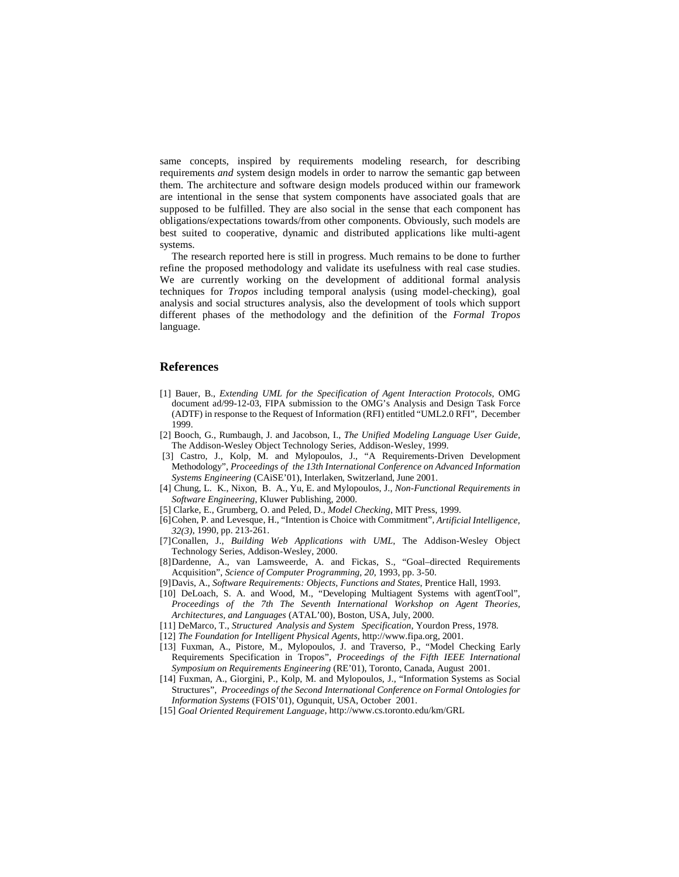same concepts, inspired by requirements modeling research, for describing requirements *and* system design models in order to narrow the semantic gap between them. The architecture and software design models produced within our framework are intentional in the sense that system components have associated goals that are supposed to be fulfilled. They are also social in the sense that each component has obligations/expectations towards/from other components. Obviously, such models are best suited to cooperative, dynamic and distributed applications like multi-agent systems.

The research reported here is still in progress. Much remains to be done to further refine the proposed methodology and validate its usefulness with real case studies. We are currently working on the development of additional formal analysis techniques for *Tropos* including temporal analysis (using model-checking), goal analysis and social structures analysis, also the development of tools which support different phases of the methodology and the definition of the *Formal Tropos* language.

### **References**

- [1] Bauer, B., *Extending UML for the Specification of Agent Interaction Protocols,* OMG document ad/99-12-03, FIPA submission to the OMG's Analysis and Design Task Force (ADTF) in response to the Request of Information (RFI) entitled "UML2.0 RFI", December 1999.
- [2] Booch, G., Rumbaugh, J. and Jacobson, I., *The Unified Modeling Language User Guide*, The Addison-Wesley Object Technology Series, Addison-Wesley, 1999.
- [3] Castro, J., Kolp, M. and Mylopoulos, J., "A Requirements-Driven Development Methodology", *Proceedings of the 13th International Conference on Advanced Information Systems Engineering* (CAiSE'01), Interlaken, Switzerland, June 2001.
- [4] Chung, L. K., Nixon, B. A., Yu, E. and Mylopoulos, J.*, Non-Functional Requirements in Software Engineering*, Kluwer Publishing, 2000.
- [5] Clarke, E., Grumberg, O. and Peled, D., *Model Checking*, MIT Press, 1999.
- [6]Cohen, P. and Levesque, H., "Intention is Choice with Commitment", *Artificial Intelligence, 32(3)*, 1990, pp. 213-261.
- [7]Conallen, J*., Building Web Applications with UML*, The Addison-Wesley Object Technology Series, Addison-Wesley, 2000.
- [8]Dardenne, A., van Lamsweerde, A. and Fickas, S., "Goal–directed Requirements Acquisition", *Science of Computer Programming, 20*, 1993, pp. 3-50.
- [9]Davis, A., *Software Requirements: Objects, Functions and States*, Prentice Hall, 1993.
- [10] DeLoach, S. A. and Wood, M., "Developing Multiagent Systems with agentTool", *Proceedings of the 7th The Seventh International Workshop on Agent Theories, Architectures, and Languages* (ATAL'00), Boston, USA, July, 2000.
- [11] DeMarco, T., *Structured Analysis and System Specification*, Yourdon Press, 1978.
- [12] *The Foundation for Intelligent Physical Agents*, http://www.fipa.org, 2001.
- [13] Fuxman, A., Pistore, M., Mylopoulos, J. and Traverso, P., "Model Checking Early Requirements Specification in Tropos", *Proceedings of the Fifth IEEE International Symposium on Requirements Engineering* (RE'01), Toronto, Canada, August 2001.
- [14] Fuxman, A., Giorgini, P., Kolp, M. and Mylopoulos, J., "Information Systems as Social Structures", *Proceedings of the Second International Conference on Formal Ontologies for Information Systems* (FOIS'01)*,* Ogunquit, USA, October 2001.
- [15] *Goal Oriented Requirement Language*, http://www.cs.toronto.edu/km/GRL